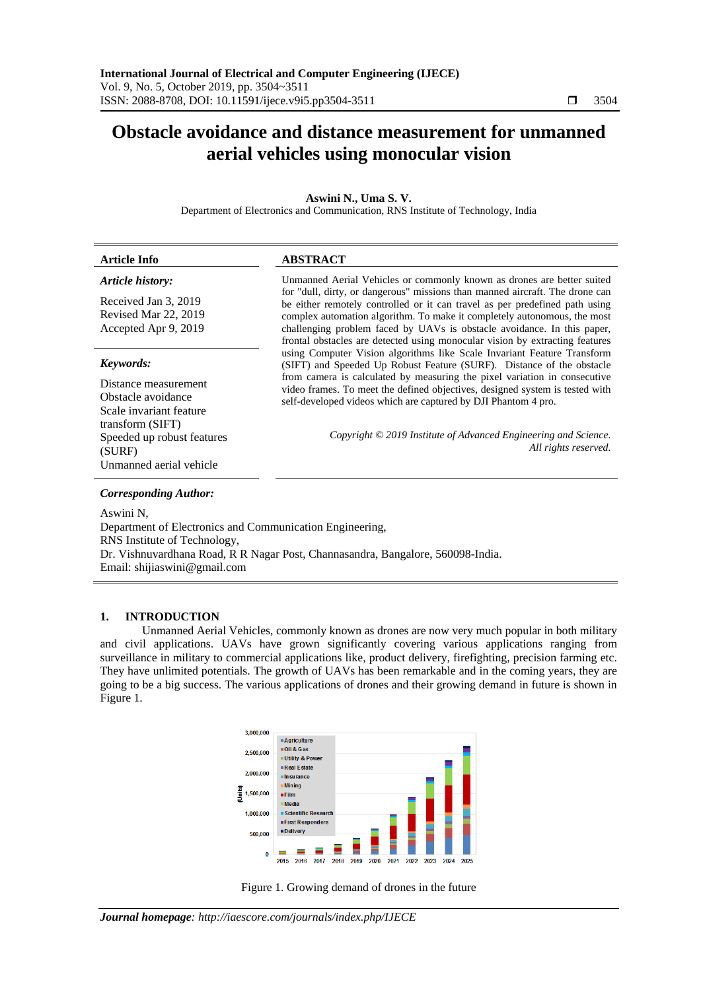# **Obstacle avoidance and distance measurement for unmanned aerial vehicles using monocular vision**

## **Aswini N., Uma S. V.**

Department of Electronics and Communication, RNS Institute of Technology, India

| <b>Article Info</b>                                                                      | <b>ABSTRACT</b>                                                                                                                                                                                                                                                                                                                                                                                                                                                              |  |  |
|------------------------------------------------------------------------------------------|------------------------------------------------------------------------------------------------------------------------------------------------------------------------------------------------------------------------------------------------------------------------------------------------------------------------------------------------------------------------------------------------------------------------------------------------------------------------------|--|--|
| Article history:<br>Received Jan 3, 2019<br>Revised Mar 22, 2019<br>Accepted Apr 9, 2019 | Unmanned Aerial Vehicles or commonly known as drones are better suited<br>for "dull, dirty, or dangerous" missions than manned aircraft. The drone can<br>be either remotely controlled or it can travel as per predefined path using<br>complex automation algorithm. To make it completely autonomous, the most<br>challenging problem faced by UAVs is obstacle avoidance. In this paper,<br>frontal obstacles are detected using monocular vision by extracting features |  |  |
| Keywords:<br>Distance measurement<br>Obstacle avoidance<br>Scale invariant feature       | using Computer Vision algorithms like Scale Invariant Feature Transform<br>(SIFT) and Speeded Up Robust Feature (SURF). Distance of the obstacle<br>from camera is calculated by measuring the pixel variation in consecutive<br>video frames. To meet the defined objectives, designed system is tested with<br>self-developed videos which are captured by DJI Phantom 4 pro.                                                                                              |  |  |
| transform (SIFT)<br>Speeded up robust features<br>(SURF)<br>Unmanned aerial vehicle      | Copyright © 2019 Institute of Advanced Engineering and Science.<br>All rights reserved.                                                                                                                                                                                                                                                                                                                                                                                      |  |  |
| <b>Corresponding Author:</b>                                                             |                                                                                                                                                                                                                                                                                                                                                                                                                                                                              |  |  |
| Aswini N.<br>Department of Electronics and Communication Engineering.                    |                                                                                                                                                                                                                                                                                                                                                                                                                                                                              |  |  |

Department of Electronics and Communication Engineering, RNS Institute of Technology, Dr. Vishnuvardhana Road, R R Nagar Post, Channasandra, Bangalore, 560098-India. Email: shijiaswini@gmail.com

### **1. INTRODUCTION**

Unmanned Aerial Vehicles, commonly known as drones are now very much popular in both military and civil applications. UAVs have grown significantly covering various applications ranging from surveillance in military to commercial applications like, product delivery, firefighting, precision farming etc. They have unlimited potentials. The growth of UAVs has been remarkable and in the coming years, they are going to be a big success. The various applications of drones and their growing demand in future is shown in Figure 1.



Figure 1. Growing demand of drones in the future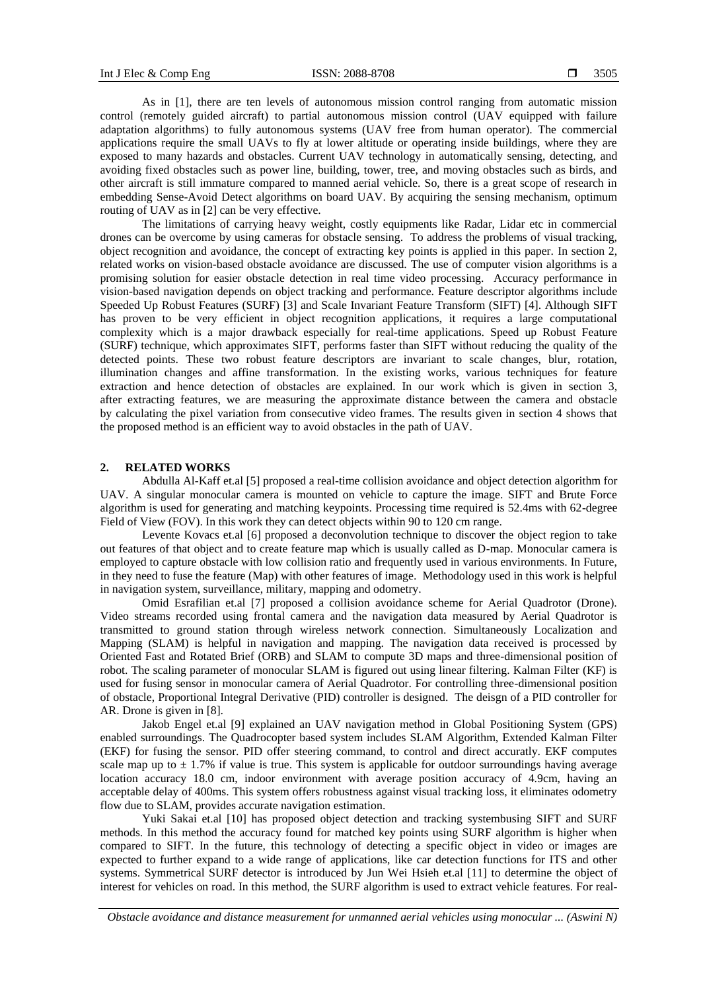As in [1], there are ten levels of autonomous mission control ranging from automatic mission control (remotely guided aircraft) to partial autonomous mission control (UAV equipped with failure adaptation algorithms) to fully autonomous systems (UAV free from human operator). The commercial applications require the small UAVs to fly at lower altitude or operating inside buildings, where they are exposed to many hazards and obstacles. Current UAV technology in automatically sensing, detecting, and avoiding fixed obstacles such as power line, building, tower, tree, and moving obstacles such as birds, and other aircraft is still immature compared to manned aerial vehicle. So, there is a great scope of research in embedding Sense-Avoid Detect algorithms on board UAV. By acquiring the sensing mechanism, optimum routing of UAV as in [2] can be very effective.

The limitations of carrying heavy weight, costly equipments like Radar, Lidar etc in commercial drones can be overcome by using cameras for obstacle sensing. To address the problems of visual tracking, object recognition and avoidance, the concept of extracting key points is applied in this paper. In section 2, related works on vision-based obstacle avoidance are discussed. The use of computer vision algorithms is a promising solution for easier obstacle detection in real time video processing. Accuracy performance in vision-based navigation depends on object tracking and performance. Feature descriptor algorithms include Speeded Up Robust Features (SURF) [3] and Scale Invariant Feature Transform (SIFT) [4]. Although SIFT has proven to be very efficient in object recognition applications, it requires a large computational complexity which is a major drawback especially for real-time applications. Speed up Robust Feature (SURF) technique, which approximates SIFT, performs faster than SIFT without reducing the quality of the detected points. These two robust feature descriptors are invariant to scale changes, blur, rotation, illumination changes and affine transformation. In the existing works, various techniques for feature extraction and hence detection of obstacles are explained. In our work which is given in section 3, after extracting features, we are measuring the approximate distance between the camera and obstacle by calculating the pixel variation from consecutive video frames. The results given in section 4 shows that the proposed method is an efficient way to avoid obstacles in the path of UAV.

### **2. RELATED WORKS**

Abdulla Al-Kaff et.al [5] proposed a real-time collision avoidance and object detection algorithm for UAV. A singular monocular camera is mounted on vehicle to capture the image. SIFT and Brute Force algorithm is used for generating and matching keypoints. Processing time required is 52.4ms with 62-degree Field of View (FOV). In this work they can detect objects within 90 to 120 cm range.

Levente Kovacs et.al [6] proposed a deconvolution technique to discover the object region to take out features of that object and to create feature map which is usually called as D-map. Monocular camera is employed to capture obstacle with low collision ratio and frequently used in various environments. In Future, in they need to fuse the feature (Map) with other features of image. Methodology used in this work is helpful in navigation system, surveillance, military, mapping and odometry.

Omid Esrafilian et.al [7] proposed a collision avoidance scheme for Aerial Quadrotor (Drone). Video streams recorded using frontal camera and the navigation data measured by Aerial Quadrotor is transmitted to ground station through wireless network connection. Simultaneously Localization and Mapping (SLAM) is helpful in navigation and mapping. The navigation data received is processed by Oriented Fast and Rotated Brief (ORB) and SLAM to compute 3D maps and three-dimensional position of robot. The scaling parameter of monocular SLAM is figured out using linear filtering. Kalman Filter (KF) is used for fusing sensor in monocular camera of Aerial Quadrotor. For controlling three-dimensional position of obstacle, Proportional Integral Derivative (PID) controller is designed. The deisgn of a PID controller for AR. Drone is given in [8].

Jakob Engel et.al [9] explained an UAV navigation method in Global Positioning System (GPS) enabled surroundings. The Quadrocopter based system includes SLAM Algorithm, Extended Kalman Filter (EKF) for fusing the sensor. PID offer steering command, to control and direct accuratly. EKF computes scale map up to  $\pm$  1.7% if value is true. This system is applicable for outdoor surroundings having average location accuracy 18.0 cm, indoor environment with average position accuracy of 4.9cm, having an acceptable delay of 400ms. This system offers robustness against visual tracking loss, it eliminates odometry flow due to SLAM, provides accurate navigation estimation.

Yuki Sakai et.al [10] has proposed object detection and tracking systembusing SIFT and SURF methods. In this method the accuracy found for matched key points using SURF algorithm is higher when compared to SIFT. In the future, this technology of detecting a specific object in video or images are expected to further expand to a wide range of applications, like car detection functions for ITS and other systems. Symmetrical SURF detector is introduced by Jun Wei Hsieh et.al [11] to determine the object of interest for vehicles on road. In this method, the SURF algorithm is used to extract vehicle features. For real-

*Obstacle avoidance and distance measurement for unmanned aerial vehicles using monocular ... (Aswini N)*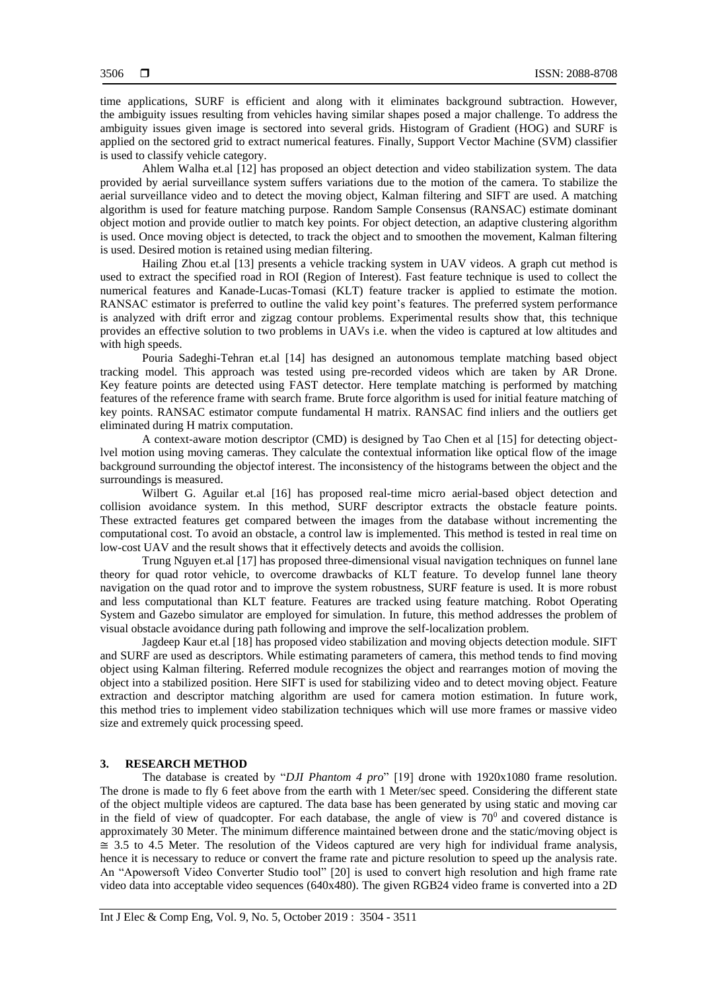time applications, SURF is efficient and along with it eliminates background subtraction. However, the ambiguity issues resulting from vehicles having similar shapes posed a major challenge. To address the ambiguity issues given image is sectored into several grids. Histogram of Gradient (HOG) and SURF is applied on the sectored grid to extract numerical features. Finally, Support Vector Machine (SVM) classifier is used to classify vehicle category.

Ahlem Walha et.al [12] has proposed an object detection and video stabilization system. The data provided by aerial surveillance system suffers variations due to the motion of the camera. To stabilize the aerial surveillance video and to detect the moving object, Kalman filtering and SIFT are used. A matching algorithm is used for feature matching purpose. Random Sample Consensus (RANSAC) estimate dominant object motion and provide outlier to match key points. For object detection, an adaptive clustering algorithm is used. Once moving object is detected, to track the object and to smoothen the movement, Kalman filtering is used. Desired motion is retained using median filtering.

Hailing Zhou et.al [13] presents a vehicle tracking system in UAV videos. A graph cut method is used to extract the specified road in ROI (Region of Interest). Fast feature technique is used to collect the numerical features and [Kanade-Lucas-Tomasi \(KLT\) feature tracker](http://web.yonsei.ac.kr/jksuhr/articles/Kanade-Lucas-Tomasi%20Tracker.pdf) is applied to estimate the motion. RANSAC estimator is preferred to outline the valid key point's features. The preferred system performance is analyzed with drift error and zigzag contour problems. Experimental results show that, this technique provides an effective solution to two problems in UAVs i.e. when the video is captured at low altitudes and with high speeds.

Pouria Sadeghi-Tehran et.al [14] has designed an autonomous template matching based object tracking model. This approach was tested using pre-recorded videos which are taken by AR Drone. Key feature points are detected using FAST detector. Here template matching is performed by matching features of the reference frame with search frame. Brute force algorithm is used for initial feature matching of key points. RANSAC estimator compute fundamental H matrix. RANSAC find inliers and the outliers get eliminated during H matrix computation.

A context-aware motion descriptor (CMD) is designed by Tao Chen et al [15] for detecting objectlvel motion using moving cameras. They calculate the contextual information like optical flow of the image background surrounding the objectof interest. The inconsistency of the histograms between the object and the surroundings is measured.

Wilbert G. Aguilar et.al [16] has proposed real-time micro aerial-based object detection and collision avoidance system. In this method, SURF descriptor extracts the obstacle feature points. These extracted features get compared between the images from the database without incrementing the computational cost. To avoid an obstacle, a control law is implemented. This method is tested in real time on low-cost UAV and the result shows that it effectively detects and avoids the collision.

Trung Nguyen et.al [17] has proposed three-dimensional visual navigation techniques on funnel lane theory for quad rotor vehicle, to overcome drawbacks of KLT feature. To develop funnel lane theory navigation on the quad rotor and to improve the system robustness, SURF feature is used. It is more robust and less computational than KLT feature. Features are tracked using feature matching. Robot Operating System and Gazebo simulator are employed for simulation. In future, this method addresses the problem of visual obstacle avoidance during path following and improve the self-localization problem.

Jagdeep Kaur et.al [18] has proposed video stabilization and moving objects detection module. SIFT and SURF are used as descriptors. While estimating parameters of camera, this method tends to find moving object using Kalman filtering. Referred module recognizes the object and rearranges motion of moving the object into a stabilized position. Here SIFT is used for stabilizing video and to detect moving object. Feature extraction and descriptor matching algorithm are used for camera motion estimation. In future work, this method tries to implement video stabilization techniques which will use more frames or massive video size and extremely quick processing speed.

# **3. RESEARCH METHOD**

The database is created by "*DJI Phantom 4 pro*" [19] drone with 1920x1080 frame resolution. The drone is made to fly 6 feet above from the earth with 1 Meter/sec speed. Considering the different state of the object multiple videos are captured. The data base has been generated by using static and moving car in the field of view of quadcopter. For each database, the angle of view is  $70^{\circ}$  and covered distance is approximately 30 Meter. The minimum difference maintained between drone and the static/moving object is  $\leq$  3.5 to 4.5 Meter. The resolution of the Videos captured are very high for individual frame analysis, hence it is necessary to reduce or convert the frame rate and picture resolution to speed up the analysis rate. An "Apowersoft Video Converter Studio tool" [20] is used to convert high resolution and high frame rate video data into acceptable video sequences (640x480). The given RGB24 video frame is converted into a 2D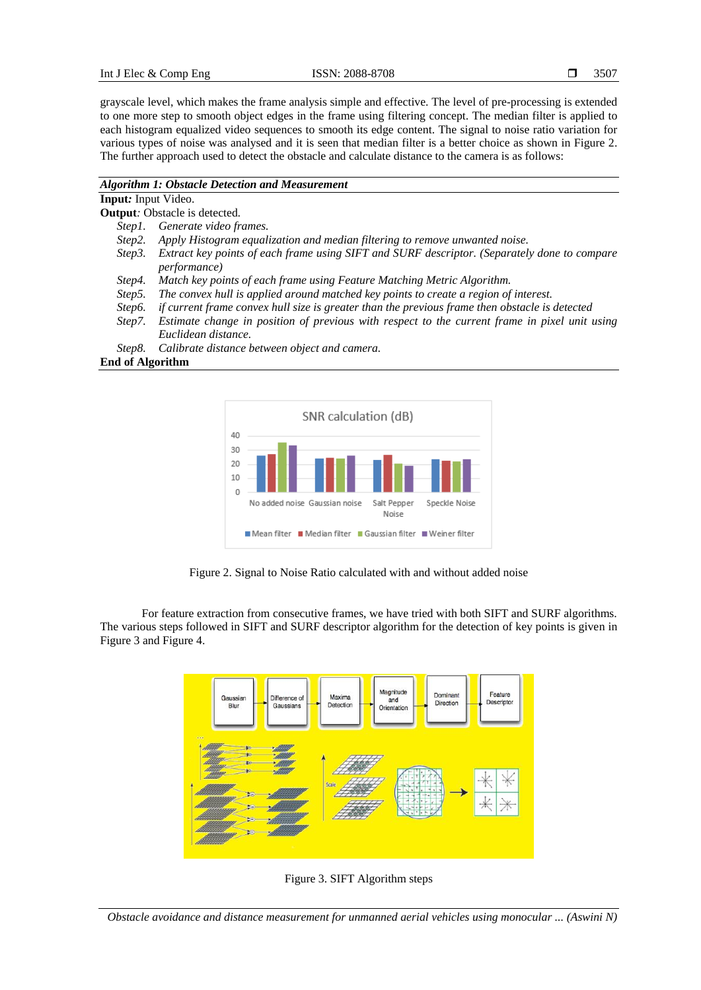grayscale level, which makes the frame analysis simple and effective. The level of pre-processing is extended to one more step to smooth object edges in the frame using filtering concept. The median filter is applied to each histogram equalized video sequences to smooth its edge content. The signal to noise ratio variation for various types of noise was analysed and it is seen that median filter is a better choice as shown in Figure 2. The further approach used to detect the obstacle and calculate distance to the camera is as follows:

### *Algorithm 1: Obstacle Detection and Measurement*

# **Input***:* Input Video.

**Output***:* Obstacle is detected*.*

- *Step1. Generate video frames.*
- *Step2. Apply Histogram equalization and median filtering to remove unwanted noise.*
- *Step3. Extract key points of each frame using SIFT and SURF descriptor. (Separately done to compare performance)*
- *Step4. Match key points of each frame using Feature Matching Metric Algorithm.*
- *Step5. The convex hull is applied around matched key points to create a region of interest.*
- *Step6. if current frame convex hull size is greater than the previous frame then obstacle is detected*
- *Step7. Estimate change in position of previous with respect to the current frame in pixel unit using Euclidean distance.*

*Step8. Calibrate distance between object and camera.*

### **End of Algorithm**



Figure 2. Signal to Noise Ratio calculated with and without added noise

For feature extraction from consecutive frames, we have tried with both SIFT and SURF algorithms. The various steps followed in SIFT and SURF descriptor algorithm for the detection of key points is given in Figure 3 and Figure 4.



Figure 3. SIFT Algorithm steps

*Obstacle avoidance and distance measurement for unmanned aerial vehicles using monocular ... (Aswini N)*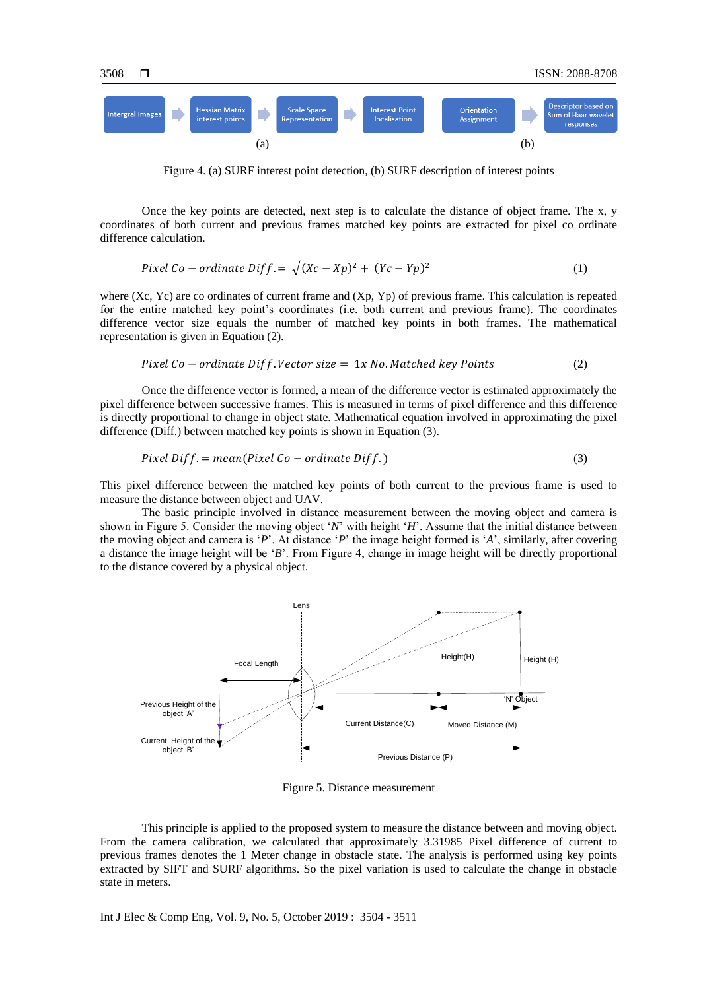Figure 4. (a) SURF interest point detection, (b) SURF description of interest points

 $(a)$  (b)

Once the key points are detected, next step is to calculate the distance of object frame. The x, y coordinates of both current and previous frames matched key points are extracted for pixel co ordinate difference calculation.

$$
Pixel\ Co - ordinate\ Diff = \sqrt{(Xc - Xp)^2 + (Yc - Yp)^2}
$$
\n(1)

where (Xc, Yc) are co ordinates of current frame and (Xp, Yp) of previous frame. This calculation is repeated for the entire matched key point's coordinates (i.e. both current and previous frame). The coordinates difference vector size equals the number of matched key points in both frames. The mathematical representation is given in Equation (2).

$$
Pixel Co - ordinate Diff. Vector size = 1x No. Matched key Points \tag{2}
$$

Once the difference vector is formed, a mean of the difference vector is estimated approximately the pixel difference between successive frames. This is measured in terms of pixel difference and this difference is directly proportional to change in object state. Mathematical equation involved in approximating the pixel difference (Diff.) between matched key points is shown in Equation (3).

$$
Pixel\ Diff. = mean (Pixel\ Co - ordinate\ Diff.)\tag{3}
$$

This pixel difference between the matched key points of both current to the previous frame is used to measure the distance between object and UAV.

The basic principle involved in distance measurement between the moving object and camera is shown in Figure 5. Consider the moving object '*N*' with height '*H*'. Assume that the initial distance between the moving object and camera is '*P*'. At distance '*P*' the image height formed is '*A*', similarly, after covering a distance the image height will be '*B*'. From Figure 4, change in image height will be directly proportional to the distance covered by a physical object.



Figure 5. Distance measurement

This principle is applied to the proposed system to measure the distance between and moving object. From the camera calibration, we calculated that approximately 3.31985 Pixel difference of current to previous frames denotes the 1 Meter change in obstacle state. The analysis is performed using key points extracted by SIFT and SURF algorithms. So the pixel variation is used to calculate the change in obstacle state in meters.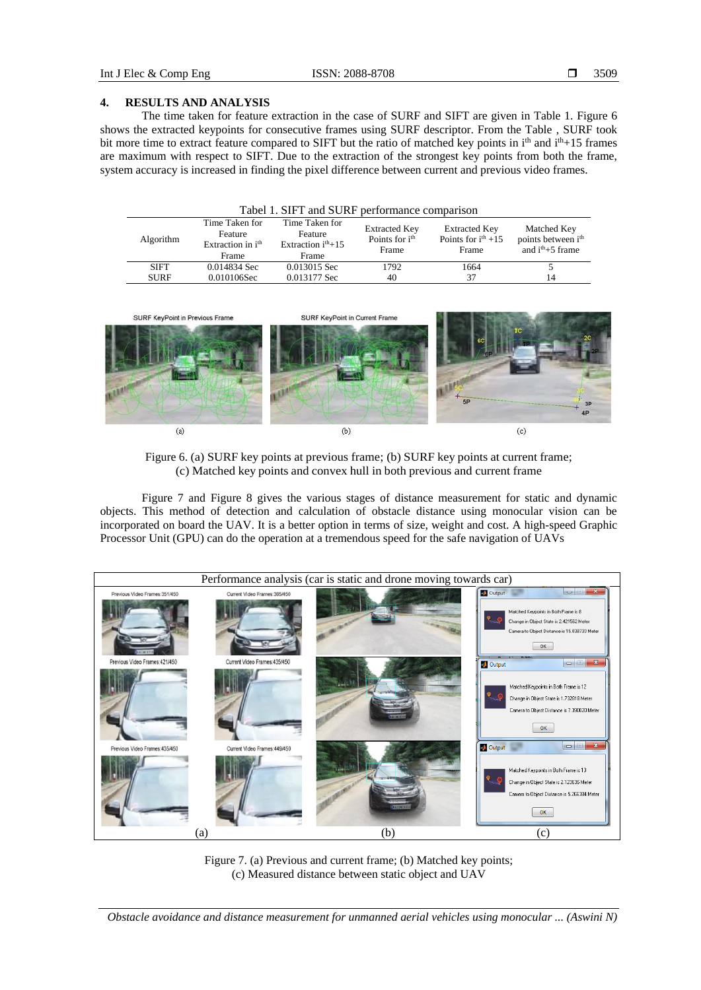### **4. RESULTS AND ANALYSIS**

The time taken for feature extraction in the case of SURF and SIFT are given in Table 1. Figure 6 shows the extracted keypoints for consecutive frames using SURF descriptor. From the Table , SURF took bit more time to extract feature compared to SIFT but the ratio of matched key points in  $i<sup>th</sup>$  and  $i<sup>th</sup>$ +15 frames are maximum with respect to SIFT. Due to the extraction of the strongest key points from both the frame, system accuracy is increased in finding the pixel difference between current and previous video frames.

| Tabel 1. SIFT and SURF performance comparison |                                                                     |                                                              |                                                   |                                                        |                                                                      |  |
|-----------------------------------------------|---------------------------------------------------------------------|--------------------------------------------------------------|---------------------------------------------------|--------------------------------------------------------|----------------------------------------------------------------------|--|
| Algorithm                                     | Time Taken for<br>Feature<br>Extraction in i <sup>th</sup><br>Frame | Time Taken for<br>Feature<br>Extraction $i^{th}+15$<br>Frame | <b>Extracted Key</b><br>Points for $ith$<br>Frame | <b>Extracted Key</b><br>Points for $ith + 15$<br>Frame | Matched Key<br>points between i <sup>th</sup><br>and $ith + 5$ frame |  |
| <b>SIFT</b>                                   | 0.014834 Sec                                                        | 0.013015 Sec                                                 | 1792                                              | 1664                                                   |                                                                      |  |
| <b>SURF</b>                                   | 0.010106Sec                                                         | 0.013177 Sec                                                 | 40                                                | 37                                                     | 14                                                                   |  |



Figure 6. (a) SURF key points at previous frame; (b) SURF key points at current frame; (c) Matched key points and convex hull in both previous and current frame

Figure 7 and Figure 8 gives the various stages of distance measurement for static and dynamic objects. This method of detection and calculation of obstacle distance using monocular vision can be incorporated on board the UAV. It is a better option in terms of size, weight and cost. A high-speed Graphic Processor Unit (GPU) can do the operation at a tremendous speed for the safe navigation of UAVs



Figure 7. (a) Previous and current frame; (b) Matched key points; (c) Measured distance between static object and UAV

*Obstacle avoidance and distance measurement for unmanned aerial vehicles using monocular ... (Aswini N)*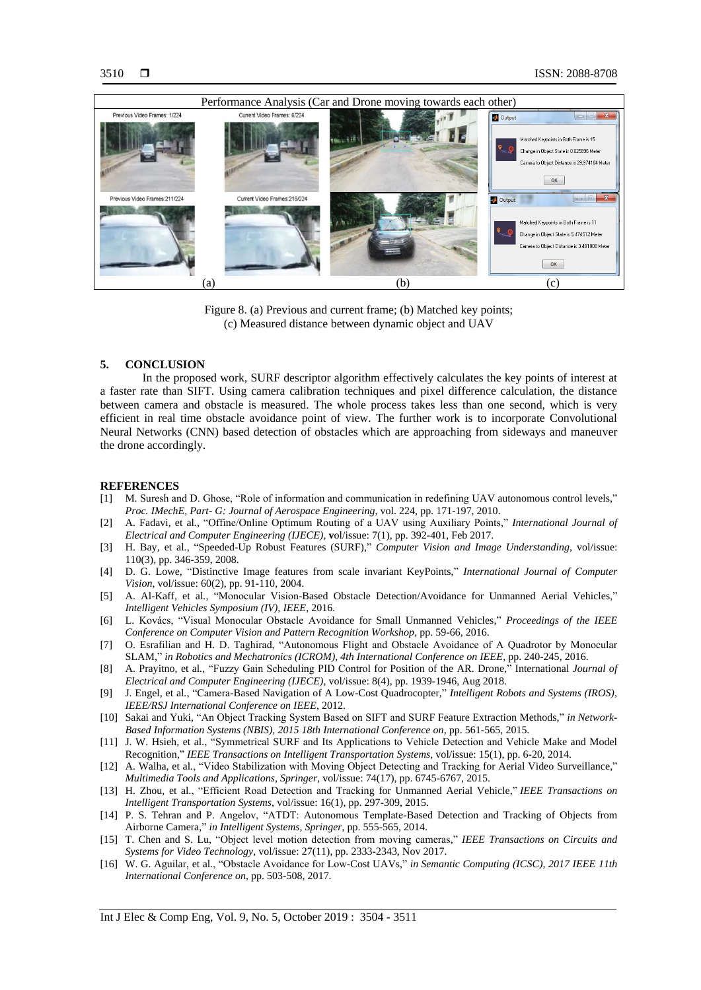

Figure 8. (a) Previous and current frame; (b) Matched key points; (c) Measured distance between dynamic object and UAV

### **5. CONCLUSION**

In the proposed work, SURF descriptor algorithm effectively calculates the key points of interest at a faster rate than SIFT. Using camera calibration techniques and pixel difference calculation, the distance between camera and obstacle is measured. The whole process takes less than one second, which is very efficient in real time obstacle avoidance point of view. The further work is to incorporate Convolutional Neural Networks (CNN) based detection of obstacles which are approaching from sideways and maneuver the drone accordingly.

#### **REFERENCES**

- [1] M. Suresh and D. Ghose, "Role of information and communication in redefining UAV autonomous control levels," *Proc. IMechE, Part- G: Journal of Aerospace Engineering*, vol. 224, pp. 171-197, 2010.
- [2] A. Fadavi, et al*.*, "Offine/Online Optimum Routing of a UAV using Auxiliary Points," *International Journal of Electrical and Computer Engineering (IJECE),* **v**ol/issue: 7(1), pp. 392-401, Feb 2017.
- [3] H. Bay, et al*.*, "Speeded-Up Robust Features (SURF)," *Computer Vision and Image Understanding,* vol/issue: 110(3), pp. 346-359, 2008.
- [4] D. G. Lowe, "Distinctive Image features from scale invariant KeyPoints," *International Journal of Computer Vision*, vol/issue: 60(2), pp. 91-110, 2004.
- [5] A. Al-Kaff, et al., "Monocular Vision-Based Obstacle Detection/Avoidance for Unmanned Aerial Vehicles," *Intelligent Vehicles Symposium (IV), IEEE*, 2016.
- [6] L. Kovács, "Visual Monocular Obstacle Avoidance for Small Unmanned Vehicles," *Proceedings of the IEEE Conference on Computer Vision and Pattern Recognition Workshop*, pp. 59-66, 2016.
- [7] O. Esrafilian and H. D. Taghirad, "Autonomous Flight and Obstacle Avoidance of A Quadrotor by Monocular SLAM," *in Robotics and Mechatronics (ICROM), 4th International Conference on IEEE*, pp. 240-245, 2016.
- [8] A. Prayitno, et al*.*, "Fuzzy Gain Scheduling PID Control for Position of the AR. Drone," International *Journal of Electrical and Computer Engineering (IJECE),* vol/issue: 8(4), pp. 1939-1946, Aug 2018.
- [9] J. Engel, et al*.*, "Camera-Based Navigation of A Low-Cost Quadrocopter," *Intelligent Robots and Systems (IROS), IEEE/RSJ International Conference on IEEE*, 2012.
- [10] Sakai and Yuki, "An Object Tracking System Based on SIFT and SURF Feature Extraction Methods," *in Network-Based Information Systems (NBIS), 2015 18th International Conference on*, pp. 561-565, 2015.
- [11] J. W. Hsieh, et al*.*, "Symmetrical SURF and Its Applications to Vehicle Detection and Vehicle Make and Model Recognition," *IEEE Transactions on Intelligent Transportation Systems*, vol/issue: 15(1), pp. 6-20, 2014.
- [12] A. Walha, et al*.*, "Video Stabilization with Moving Object Detecting and Tracking for Aerial Video Surveillance," *Multimedia Tools and Applications, Springer*, vol/issue: 74(17), pp. 6745-6767, 2015.
- [13] H. Zhou, et al*.*, "Efficient Road Detection and Tracking for Unmanned Aerial Vehicle," *IEEE Transactions on Intelligent Transportation Systems*, vol/issue: 16(1), pp. 297-309, 2015.
- [14] P. S. Tehran and P. Angelov, "ATDT: Autonomous Template-Based Detection and Tracking of Objects from Airborne Camera," *in Intelligent Systems, Springer*, pp. 555-565, 2014.
- [15] T. Chen and S. Lu, "Object level motion detection from moving cameras," *[IEEE Transactions on Circuits and](https://ieeexplore.ieee.org/xpl/RecentIssue.jsp?punumber=76)  [Systems for Video Technology](https://ieeexplore.ieee.org/xpl/RecentIssue.jsp?punumber=76)*, vol/issue: 27(11), pp. 2333-2343, Nov 2017.
- [16] W. G. Aguilar, et al*.*, "Obstacle Avoidance for Low-Cost UAVs," *in Semantic Computing (ICSC), 2017 IEEE 11th International Conference on*, pp. 503-508, 2017.